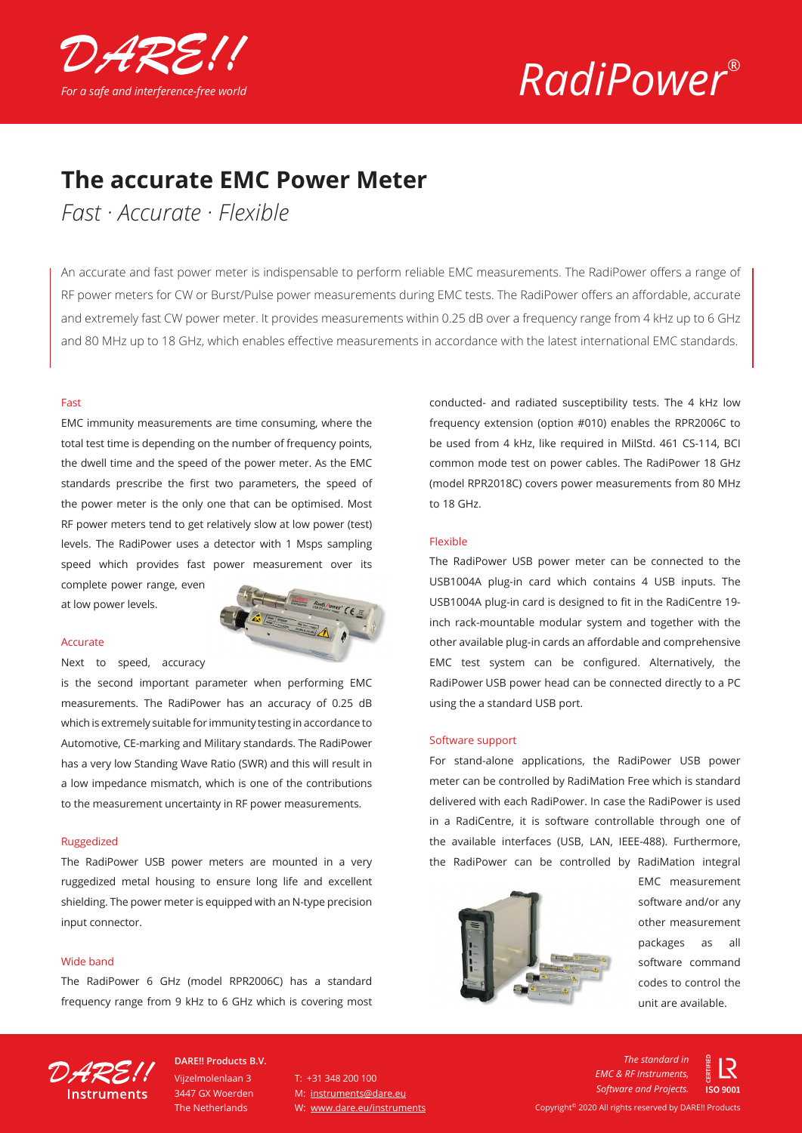

# *RadiPower*®

## **The accurate EMC Power Meter**

*Fast · Accurate · Flexible*

An accurate and fast power meter is indispensable to perform reliable EMC measurements. The RadiPower offers a range of RF power meters for CW or Burst/Pulse power measurements during EMC tests. The RadiPower offers an affordable, accurate and extremely fast CW power meter. It provides measurements within 0.25 dB over a frequency range from 4 kHz up to 6 GHz and 80 MHz up to 18 GHz, which enables effective measurements in accordance with the latest international EMC standards.

#### Fast

EMC immunity measurements are time consuming, where the total test time is depending on the number of frequency points, the dwell time and the speed of the power meter. As the EMC standards prescribe the first two parameters, the speed of the power meter is the only one that can be optimised. Most RF power meters tend to get relatively slow at low power (test) levels. The RadiPower uses a detector with 1 Msps sampling speed which provides fast power measurement over its complete power range, even

at low power levels.

#### Accurate

Next to speed, accuracy

is the second important parameter when performing EMC measurements. The RadiPower has an accuracy of 0.25 dB which is extremely suitable for immunity testing in accordance to Automotive, CE-marking and Military standards. The RadiPower has a very low Standing Wave Ratio (SWR) and this will result in a low impedance mismatch, which is one of the contributions to the measurement uncertainty in RF power measurements.

#### Ruggedized

The RadiPower USB power meters are mounted in a very ruggedized metal housing to ensure long life and excellent shielding. The power meter is equipped with an N-type precision input connector.

#### Wide band

The RadiPower 6 GHz (model RPR2006C) has a standard frequency range from 9 kHz to 6 GHz which is covering most conducted- and radiated susceptibility tests. The 4 kHz low frequency extension (option #010) enables the RPR2006C to be used from 4 kHz, like required in MilStd. 461 CS-114, BCI common mode test on power cables. The RadiPower 18 GHz (model RPR2018C) covers power measurements from 80 MHz to 18 GHz.

#### Flexible

The RadiPower USB power meter can be connected to the USB1004A plug-in card which contains 4 USB inputs. The USB1004A plug-in card is designed to fit in the RadiCentre 19 inch rack-mountable modular system and together with the other available plug-in cards an affordable and comprehensive EMC test system can be configured. Alternatively, the RadiPower USB power head can be connected directly to a PC using the a standard USB port.

#### Software support

For stand-alone applications, the RadiPower USB power meter can be controlled by RadiMation Free which is standard delivered with each RadiPower. In case the RadiPower is used in a RadiCentre, it is software controllable through one of the available interfaces (USB, LAN, IEEE-488). Furthermore, the RadiPower can be controlled by RadiMation integral



EMC measurement software and/or any other measurement packages as all software command codes to control the unit are available.



Vijzelmolenlaan 3 3447 GX Woerden The Netherlands **DARE!! Products B.V.**

 $T: +31, 348, 200, 100$ M: instruments@dare.eu W: www.dare.eu/instruments

*The standard in EMC & RF Instruments, Software and Projects.*150,9001 Copyright© 2020 All rights reserved by DARE!! Products